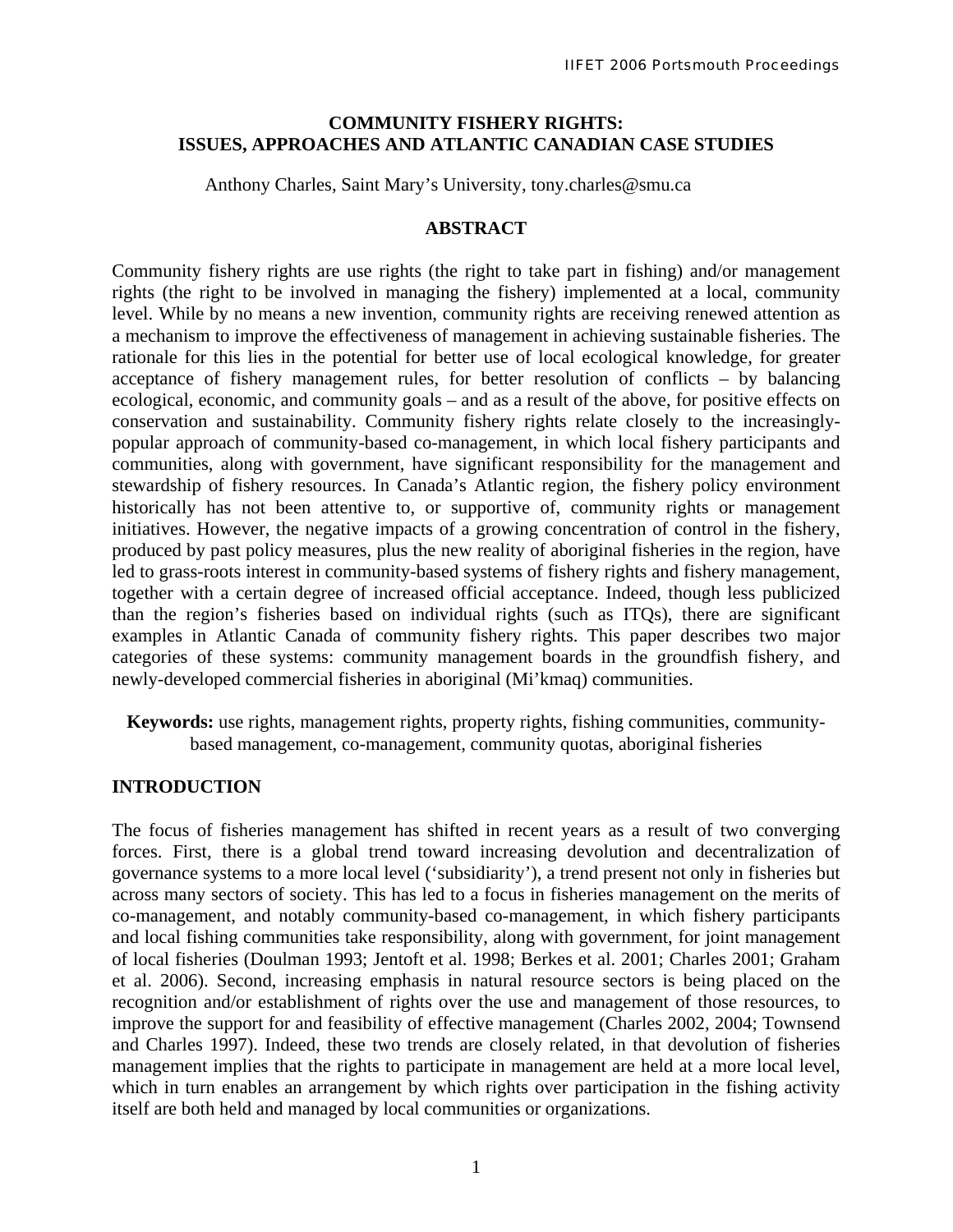### **COMMUNITY FISHERY RIGHTS: ISSUES, APPROACHES AND ATLANTIC CANADIAN CASE STUDIES**

Anthony Charles, Saint Mary's University, tony.charles@smu.ca

#### **ABSTRACT**

Community fishery rights are use rights (the right to take part in fishing) and/or management rights (the right to be involved in managing the fishery) implemented at a local, community level. While by no means a new invention, community rights are receiving renewed attention as a mechanism to improve the effectiveness of management in achieving sustainable fisheries. The rationale for this lies in the potential for better use of local ecological knowledge, for greater acceptance of fishery management rules, for better resolution of conflicts – by balancing ecological, economic, and community goals – and as a result of the above, for positive effects on conservation and sustainability. Community fishery rights relate closely to the increasinglypopular approach of community-based co-management, in which local fishery participants and communities, along with government, have significant responsibility for the management and stewardship of fishery resources. In Canada's Atlantic region, the fishery policy environment historically has not been attentive to, or supportive of, community rights or management initiatives. However, the negative impacts of a growing concentration of control in the fishery, produced by past policy measures, plus the new reality of aboriginal fisheries in the region, have led to grass-roots interest in community-based systems of fishery rights and fishery management, together with a certain degree of increased official acceptance. Indeed, though less publicized than the region's fisheries based on individual rights (such as ITQs), there are significant examples in Atlantic Canada of community fishery rights. This paper describes two major categories of these systems: community management boards in the groundfish fishery, and newly-developed commercial fisheries in aboriginal (Mi'kmaq) communities.

**Keywords:** use rights, management rights, property rights, fishing communities, communitybased management, co-management, community quotas, aboriginal fisheries

### **INTRODUCTION**

The focus of fisheries management has shifted in recent years as a result of two converging forces. First, there is a global trend toward increasing devolution and decentralization of governance systems to a more local level ('subsidiarity'), a trend present not only in fisheries but across many sectors of society. This has led to a focus in fisheries management on the merits of co-management, and notably community-based co-management, in which fishery participants and local fishing communities take responsibility, along with government, for joint management of local fisheries (Doulman 1993; Jentoft et al. 1998; Berkes et al. 2001; Charles 2001; Graham et al. 2006). Second, increasing emphasis in natural resource sectors is being placed on the recognition and/or establishment of rights over the use and management of those resources, to improve the support for and feasibility of effective management (Charles 2002, 2004; Townsend and Charles 1997). Indeed, these two trends are closely related, in that devolution of fisheries management implies that the rights to participate in management are held at a more local level, which in turn enables an arrangement by which rights over participation in the fishing activity itself are both held and managed by local communities or organizations.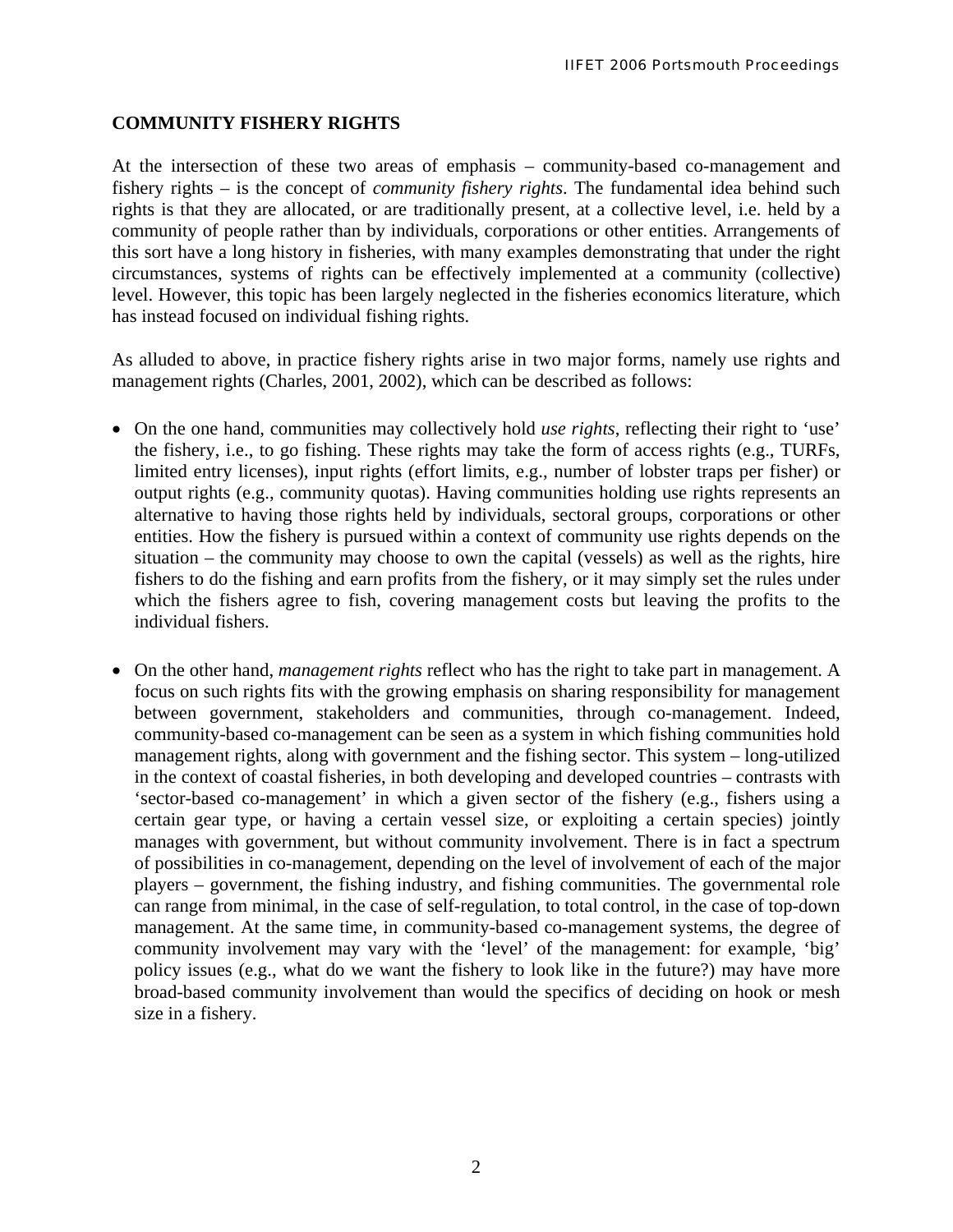### **COMMUNITY FISHERY RIGHTS**

At the intersection of these two areas of emphasis – community-based co-management and fishery rights – is the concept of *community fishery rights*. The fundamental idea behind such rights is that they are allocated, or are traditionally present, at a collective level, i.e. held by a community of people rather than by individuals, corporations or other entities. Arrangements of this sort have a long history in fisheries, with many examples demonstrating that under the right circumstances, systems of rights can be effectively implemented at a community (collective) level. However, this topic has been largely neglected in the fisheries economics literature, which has instead focused on individual fishing rights.

As alluded to above, in practice fishery rights arise in two major forms, namely use rights and management rights (Charles, 2001, 2002), which can be described as follows:

- On the one hand, communities may collectively hold *use rights*, reflecting their right to 'use' the fishery, i.e., to go fishing. These rights may take the form of access rights (e.g., TURFs, limited entry licenses), input rights (effort limits, e.g., number of lobster traps per fisher) or output rights (e.g., community quotas). Having communities holding use rights represents an alternative to having those rights held by individuals, sectoral groups, corporations or other entities. How the fishery is pursued within a context of community use rights depends on the situation – the community may choose to own the capital (vessels) as well as the rights, hire fishers to do the fishing and earn profits from the fishery, or it may simply set the rules under which the fishers agree to fish, covering management costs but leaving the profits to the individual fishers.
- On the other hand, *management rights* reflect who has the right to take part in management. A focus on such rights fits with the growing emphasis on sharing responsibility for management between government, stakeholders and communities, through co-management. Indeed, community-based co-management can be seen as a system in which fishing communities hold management rights, along with government and the fishing sector. This system – long-utilized in the context of coastal fisheries, in both developing and developed countries – contrasts with 'sector-based co-management' in which a given sector of the fishery (e.g., fishers using a certain gear type, or having a certain vessel size, or exploiting a certain species) jointly manages with government, but without community involvement. There is in fact a spectrum of possibilities in co-management, depending on the level of involvement of each of the major players – government, the fishing industry, and fishing communities. The governmental role can range from minimal, in the case of self-regulation, to total control, in the case of top-down management. At the same time, in community-based co-management systems, the degree of community involvement may vary with the 'level' of the management: for example, 'big' policy issues (e.g., what do we want the fishery to look like in the future?) may have more broad-based community involvement than would the specifics of deciding on hook or mesh size in a fishery.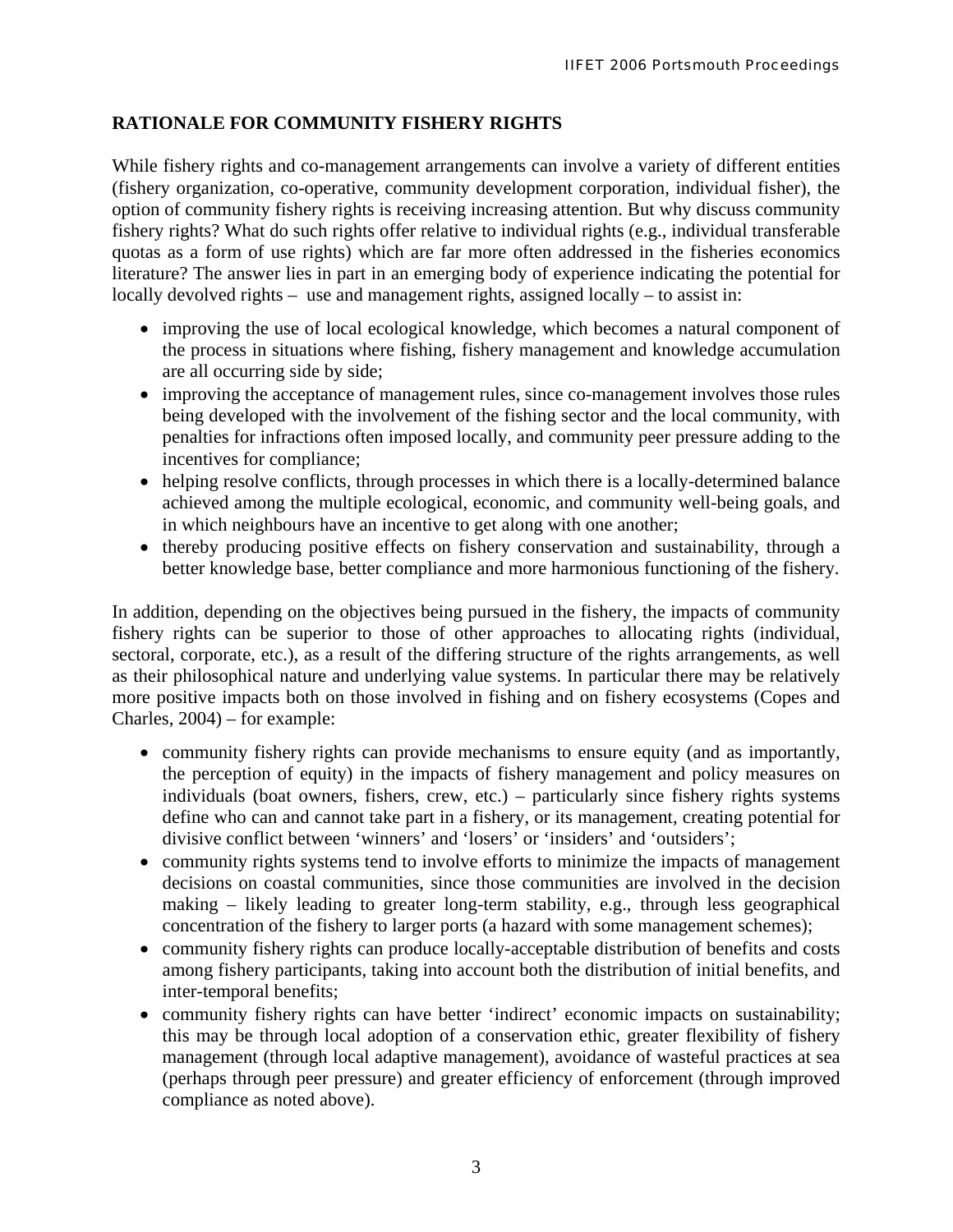# **RATIONALE FOR COMMUNITY FISHERY RIGHTS**

While fishery rights and co-management arrangements can involve a variety of different entities (fishery organization, co-operative, community development corporation, individual fisher), the option of community fishery rights is receiving increasing attention. But why discuss community fishery rights? What do such rights offer relative to individual rights (e.g., individual transferable quotas as a form of use rights) which are far more often addressed in the fisheries economics literature? The answer lies in part in an emerging body of experience indicating the potential for locally devolved rights – use and management rights, assigned locally – to assist in:

- improving the use of local ecological knowledge, which becomes a natural component of the process in situations where fishing, fishery management and knowledge accumulation are all occurring side by side;
- improving the acceptance of management rules, since co-management involves those rules being developed with the involvement of the fishing sector and the local community, with penalties for infractions often imposed locally, and community peer pressure adding to the incentives for compliance;
- helping resolve conflicts, through processes in which there is a locally-determined balance achieved among the multiple ecological, economic, and community well-being goals, and in which neighbours have an incentive to get along with one another;
- thereby producing positive effects on fishery conservation and sustainability, through a better knowledge base, better compliance and more harmonious functioning of the fishery.

In addition, depending on the objectives being pursued in the fishery, the impacts of community fishery rights can be superior to those of other approaches to allocating rights (individual, sectoral, corporate, etc.), as a result of the differing structure of the rights arrangements, as well as their philosophical nature and underlying value systems. In particular there may be relatively more positive impacts both on those involved in fishing and on fishery ecosystems (Copes and Charles, 2004) – for example:

- community fishery rights can provide mechanisms to ensure equity (and as importantly, the perception of equity) in the impacts of fishery management and policy measures on individuals (boat owners, fishers, crew, etc.) – particularly since fishery rights systems define who can and cannot take part in a fishery, or its management, creating potential for divisive conflict between 'winners' and 'losers' or 'insiders' and 'outsiders';
- community rights systems tend to involve efforts to minimize the impacts of management decisions on coastal communities, since those communities are involved in the decision making – likely leading to greater long-term stability, e.g., through less geographical concentration of the fishery to larger ports (a hazard with some management schemes);
- community fishery rights can produce locally-acceptable distribution of benefits and costs among fishery participants, taking into account both the distribution of initial benefits, and inter-temporal benefits;
- community fishery rights can have better 'indirect' economic impacts on sustainability; this may be through local adoption of a conservation ethic, greater flexibility of fishery management (through local adaptive management), avoidance of wasteful practices at sea (perhaps through peer pressure) and greater efficiency of enforcement (through improved compliance as noted above).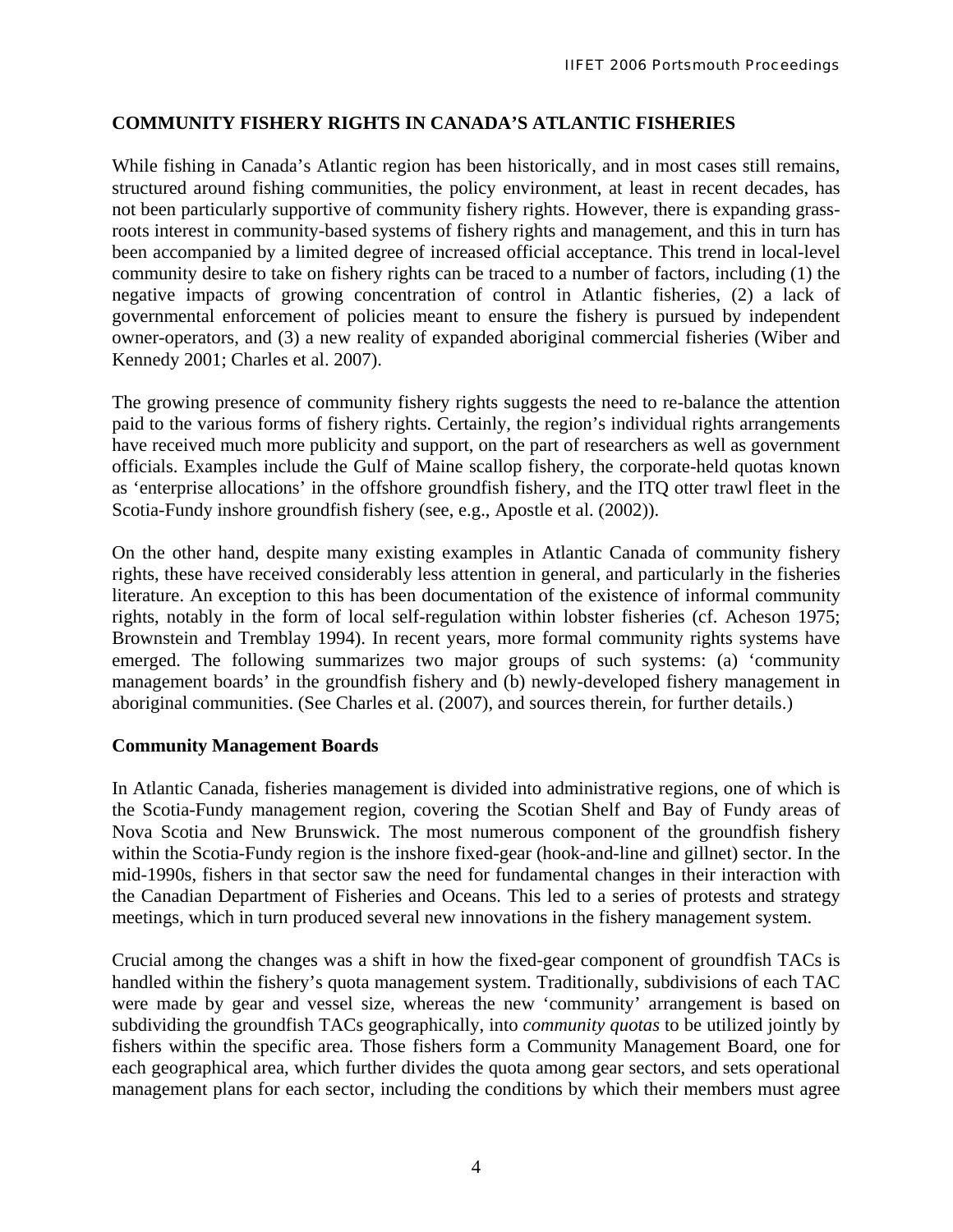# **COMMUNITY FISHERY RIGHTS IN CANADA'S ATLANTIC FISHERIES**

While fishing in Canada's Atlantic region has been historically, and in most cases still remains, structured around fishing communities, the policy environment, at least in recent decades, has not been particularly supportive of community fishery rights. However, there is expanding grassroots interest in community-based systems of fishery rights and management, and this in turn has been accompanied by a limited degree of increased official acceptance. This trend in local-level community desire to take on fishery rights can be traced to a number of factors, including (1) the negative impacts of growing concentration of control in Atlantic fisheries, (2) a lack of governmental enforcement of policies meant to ensure the fishery is pursued by independent owner-operators, and (3) a new reality of expanded aboriginal commercial fisheries (Wiber and Kennedy 2001; Charles et al. 2007).

The growing presence of community fishery rights suggests the need to re-balance the attention paid to the various forms of fishery rights. Certainly, the region's individual rights arrangements have received much more publicity and support, on the part of researchers as well as government officials. Examples include the Gulf of Maine scallop fishery, the corporate-held quotas known as 'enterprise allocations' in the offshore groundfish fishery, and the ITQ otter trawl fleet in the Scotia-Fundy inshore groundfish fishery (see, e.g., Apostle et al. (2002)).

On the other hand, despite many existing examples in Atlantic Canada of community fishery rights, these have received considerably less attention in general, and particularly in the fisheries literature. An exception to this has been documentation of the existence of informal community rights, notably in the form of local self-regulation within lobster fisheries (cf. Acheson 1975; Brownstein and Tremblay 1994). In recent years, more formal community rights systems have emerged. The following summarizes two major groups of such systems: (a) 'community management boards' in the groundfish fishery and (b) newly-developed fishery management in aboriginal communities. (See Charles et al. (2007), and sources therein, for further details.)

### **Community Management Boards**

In Atlantic Canada, fisheries management is divided into administrative regions, one of which is the Scotia-Fundy management region, covering the Scotian Shelf and Bay of Fundy areas of Nova Scotia and New Brunswick. The most numerous component of the groundfish fishery within the Scotia-Fundy region is the inshore fixed-gear (hook-and-line and gillnet) sector. In the mid-1990s, fishers in that sector saw the need for fundamental changes in their interaction with the Canadian Department of Fisheries and Oceans. This led to a series of protests and strategy meetings, which in turn produced several new innovations in the fishery management system.

Crucial among the changes was a shift in how the fixed-gear component of groundfish TACs is handled within the fishery's quota management system. Traditionally, subdivisions of each TAC were made by gear and vessel size, whereas the new 'community' arrangement is based on subdividing the groundfish TACs geographically, into *community quotas* to be utilized jointly by fishers within the specific area. Those fishers form a Community Management Board, one for each geographical area, which further divides the quota among gear sectors, and sets operational management plans for each sector, including the conditions by which their members must agree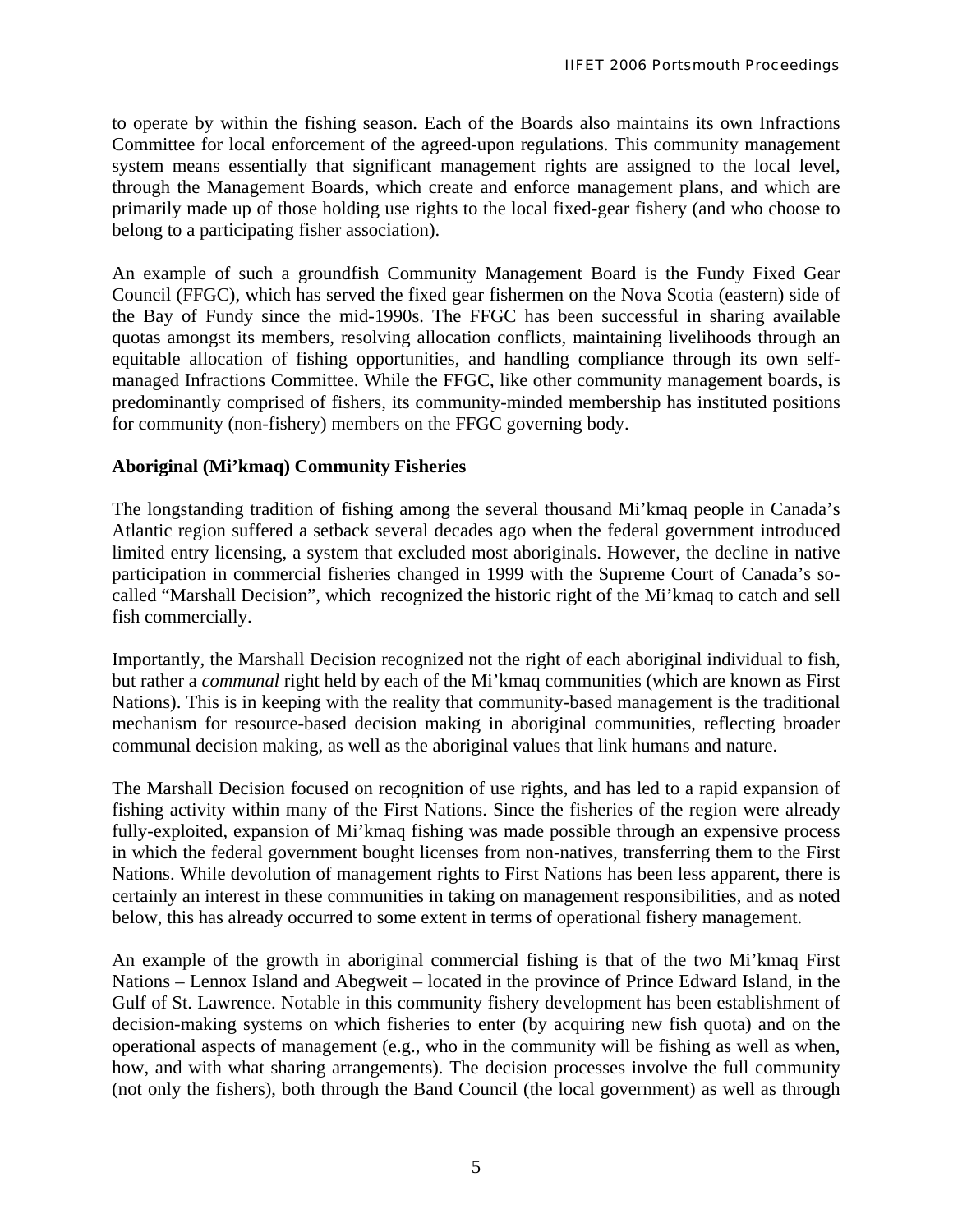to operate by within the fishing season. Each of the Boards also maintains its own Infractions Committee for local enforcement of the agreed-upon regulations. This community management system means essentially that significant management rights are assigned to the local level, through the Management Boards, which create and enforce management plans, and which are primarily made up of those holding use rights to the local fixed-gear fishery (and who choose to belong to a participating fisher association).

An example of such a groundfish Community Management Board is the Fundy Fixed Gear Council (FFGC), which has served the fixed gear fishermen on the Nova Scotia (eastern) side of the Bay of Fundy since the mid-1990s. The FFGC has been successful in sharing available quotas amongst its members, resolving allocation conflicts, maintaining livelihoods through an equitable allocation of fishing opportunities, and handling compliance through its own selfmanaged Infractions Committee. While the FFGC, like other community management boards, is predominantly comprised of fishers, its community-minded membership has instituted positions for community (non-fishery) members on the FFGC governing body.

### **Aboriginal (Mi'kmaq) Community Fisheries**

The longstanding tradition of fishing among the several thousand Mi'kmaq people in Canada's Atlantic region suffered a setback several decades ago when the federal government introduced limited entry licensing, a system that excluded most aboriginals. However, the decline in native participation in commercial fisheries changed in 1999 with the Supreme Court of Canada's socalled "Marshall Decision", which recognized the historic right of the Mi'kmaq to catch and sell fish commercially.

Importantly, the Marshall Decision recognized not the right of each aboriginal individual to fish, but rather a *communal* right held by each of the Mi'kmaq communities (which are known as First Nations). This is in keeping with the reality that community-based management is the traditional mechanism for resource-based decision making in aboriginal communities, reflecting broader communal decision making, as well as the aboriginal values that link humans and nature.

The Marshall Decision focused on recognition of use rights, and has led to a rapid expansion of fishing activity within many of the First Nations. Since the fisheries of the region were already fully-exploited, expansion of Mi'kmaq fishing was made possible through an expensive process in which the federal government bought licenses from non-natives, transferring them to the First Nations. While devolution of management rights to First Nations has been less apparent, there is certainly an interest in these communities in taking on management responsibilities, and as noted below, this has already occurred to some extent in terms of operational fishery management.

An example of the growth in aboriginal commercial fishing is that of the two Mi'kmaq First Nations – Lennox Island and Abegweit – located in the province of Prince Edward Island, in the Gulf of St. Lawrence. Notable in this community fishery development has been establishment of decision-making systems on which fisheries to enter (by acquiring new fish quota) and on the operational aspects of management (e.g., who in the community will be fishing as well as when, how, and with what sharing arrangements). The decision processes involve the full community (not only the fishers), both through the Band Council (the local government) as well as through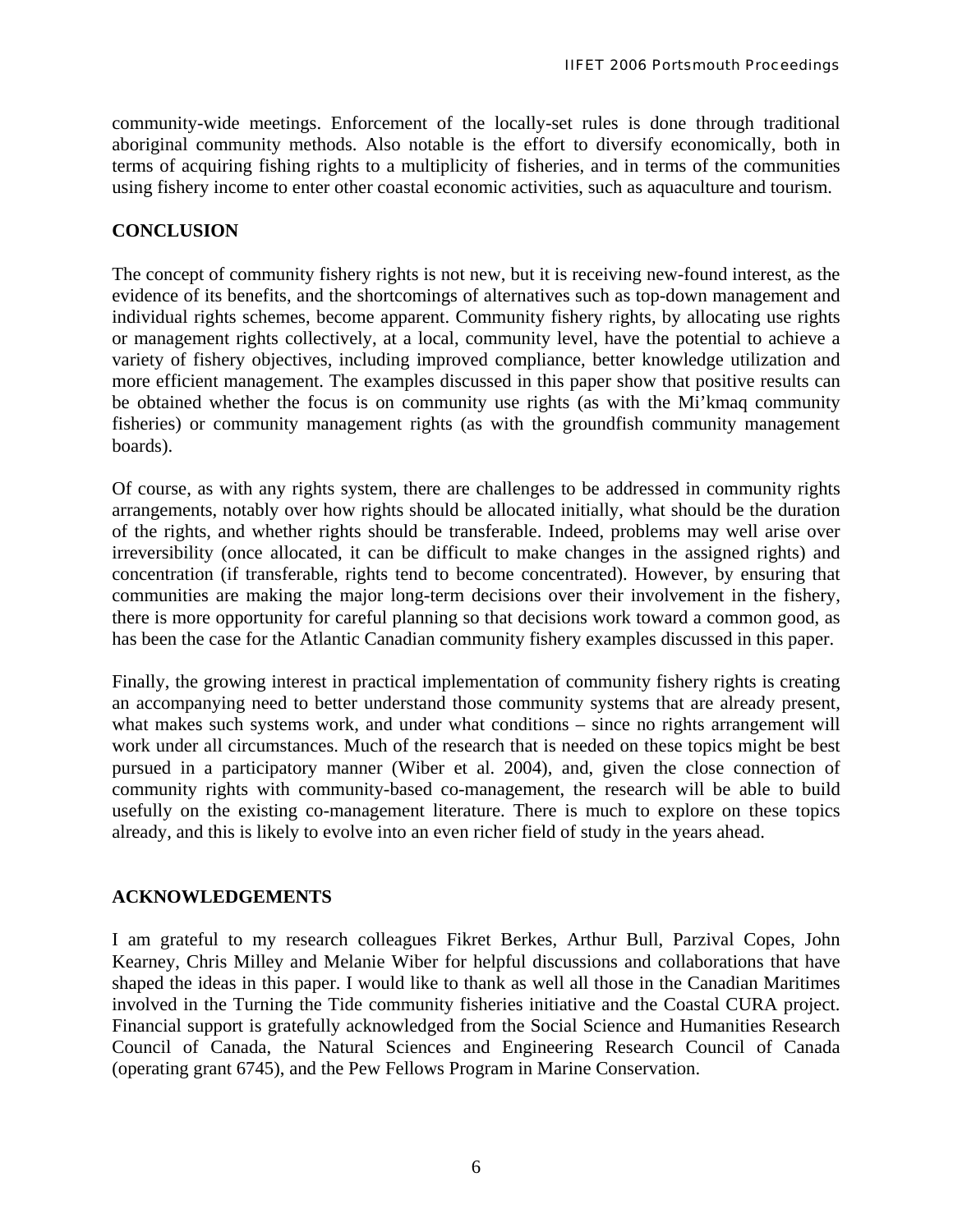community-wide meetings. Enforcement of the locally-set rules is done through traditional aboriginal community methods. Also notable is the effort to diversify economically, both in terms of acquiring fishing rights to a multiplicity of fisheries, and in terms of the communities using fishery income to enter other coastal economic activities, such as aquaculture and tourism.

# **CONCLUSION**

The concept of community fishery rights is not new, but it is receiving new-found interest, as the evidence of its benefits, and the shortcomings of alternatives such as top-down management and individual rights schemes, become apparent. Community fishery rights, by allocating use rights or management rights collectively, at a local, community level, have the potential to achieve a variety of fishery objectives, including improved compliance, better knowledge utilization and more efficient management. The examples discussed in this paper show that positive results can be obtained whether the focus is on community use rights (as with the Mi'kmaq community fisheries) or community management rights (as with the groundfish community management boards).

Of course, as with any rights system, there are challenges to be addressed in community rights arrangements, notably over how rights should be allocated initially, what should be the duration of the rights, and whether rights should be transferable. Indeed, problems may well arise over irreversibility (once allocated, it can be difficult to make changes in the assigned rights) and concentration (if transferable, rights tend to become concentrated). However, by ensuring that communities are making the major long-term decisions over their involvement in the fishery, there is more opportunity for careful planning so that decisions work toward a common good, as has been the case for the Atlantic Canadian community fishery examples discussed in this paper.

Finally, the growing interest in practical implementation of community fishery rights is creating an accompanying need to better understand those community systems that are already present, what makes such systems work, and under what conditions – since no rights arrangement will work under all circumstances. Much of the research that is needed on these topics might be best pursued in a participatory manner (Wiber et al. 2004), and, given the close connection of community rights with community-based co-management, the research will be able to build usefully on the existing co-management literature. There is much to explore on these topics already, and this is likely to evolve into an even richer field of study in the years ahead.

# **ACKNOWLEDGEMENTS**

I am grateful to my research colleagues Fikret Berkes, Arthur Bull, Parzival Copes, John Kearney, Chris Milley and Melanie Wiber for helpful discussions and collaborations that have shaped the ideas in this paper. I would like to thank as well all those in the Canadian Maritimes involved in the Turning the Tide community fisheries initiative and the Coastal CURA project. Financial support is gratefully acknowledged from the Social Science and Humanities Research Council of Canada, the Natural Sciences and Engineering Research Council of Canada (operating grant 6745), and the Pew Fellows Program in Marine Conservation.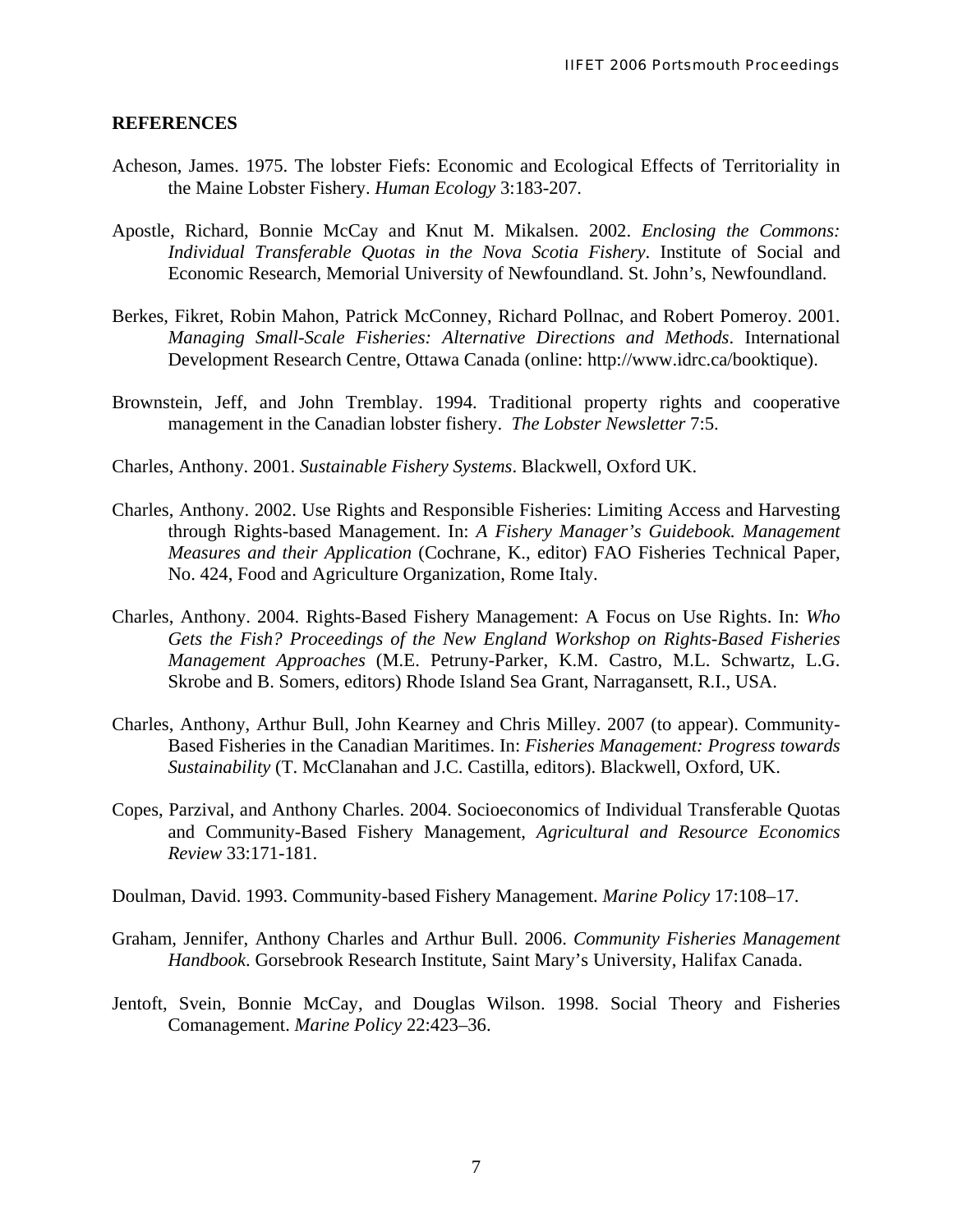#### **REFERENCES**

- Acheson, James. 1975. The lobster Fiefs: Economic and Ecological Effects of Territoriality in the Maine Lobster Fishery. *Human Ecology* 3:183-207.
- Apostle, Richard, Bonnie McCay and Knut M. Mikalsen. 2002. *Enclosing the Commons: Individual Transferable Quotas in the Nova Scotia Fishery*. Institute of Social and Economic Research, Memorial University of Newfoundland. St. John's, Newfoundland.
- Berkes, Fikret, Robin Mahon, Patrick McConney, Richard Pollnac, and Robert Pomeroy. 2001. *Managing Small-Scale Fisheries: Alternative Directions and Methods*. International Development Research Centre, Ottawa Canada (online: http://www.idrc.ca/booktique).
- Brownstein, Jeff, and John Tremblay. 1994. Traditional property rights and cooperative management in the Canadian lobster fishery. *The Lobster Newsletter* 7:5.
- Charles, Anthony. 2001. *Sustainable Fishery Systems*. Blackwell, Oxford UK.
- Charles, Anthony. 2002. Use Rights and Responsible Fisheries: Limiting Access and Harvesting through Rights-based Management. In: *A Fishery Manager's Guidebook. Management Measures and their Application* (Cochrane, K., editor) FAO Fisheries Technical Paper, No. 424, Food and Agriculture Organization, Rome Italy.
- Charles, Anthony. 2004. Rights-Based Fishery Management: A Focus on Use Rights. In: *Who Gets the Fish? Proceedings of the New England Workshop on Rights-Based Fisheries Management Approaches* (M.E. Petruny-Parker, K.M. Castro, M.L. Schwartz, L.G. Skrobe and B. Somers, editors) Rhode Island Sea Grant, Narragansett, R.I., USA.
- Charles, Anthony, Arthur Bull, John Kearney and Chris Milley. 2007 (to appear). Community-Based Fisheries in the Canadian Maritimes. In: *Fisheries Management: Progress towards Sustainability* (T. McClanahan and J.C. Castilla, editors). Blackwell, Oxford, UK.
- Copes, Parzival, and Anthony Charles. 2004. Socioeconomics of Individual Transferable Quotas and Community-Based Fishery Management, *Agricultural and Resource Economics Review* 33:171-181.
- Doulman, David. 1993. Community-based Fishery Management. *Marine Policy* 17:108–17.
- Graham, Jennifer, Anthony Charles and Arthur Bull. 2006. *Community Fisheries Management Handbook*. Gorsebrook Research Institute, Saint Mary's University, Halifax Canada.
- Jentoft, Svein, Bonnie McCay, and Douglas Wilson. 1998. Social Theory and Fisheries Comanagement. *Marine Policy* 22:423–36.